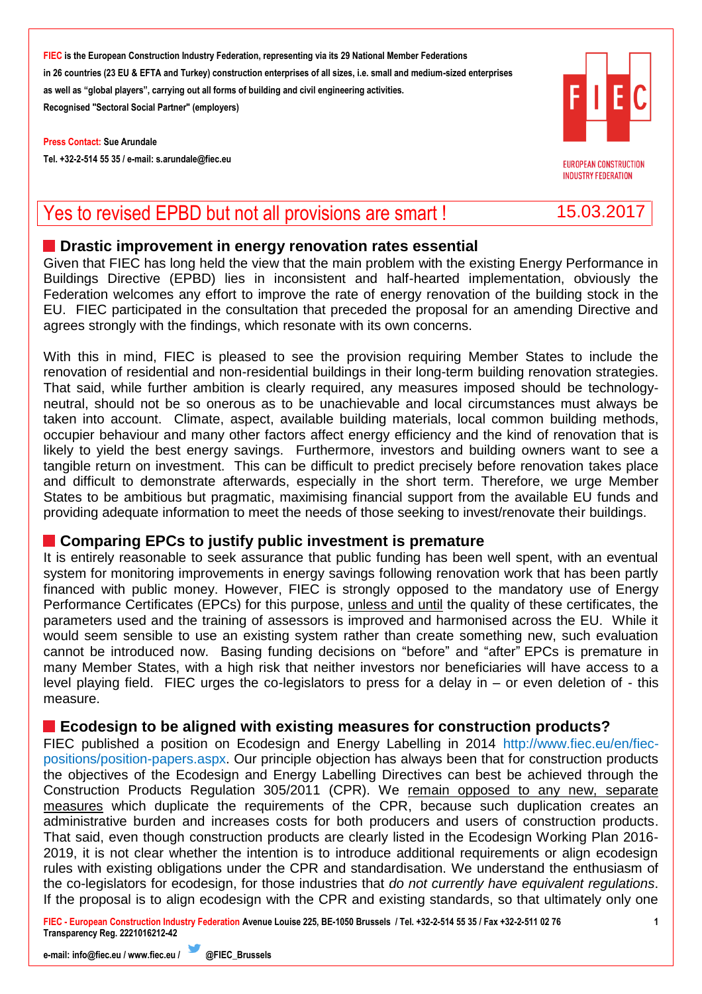**FIEC is the European Construction Industry Federation, representing via its 29 National Member Federations in 26 countries (23 EU & EFTA and Turkey) construction enterprises of all sizes, i.e. small and medium-sized enterprises as well as "global players", carrying out all forms of building and civil engineering activities. Recognised "Sectoral Social Partner" (employers)**

**Press Contact: Sue Arundale Tel. +32-2-514 55 35 / e-mail[: s.arundale@fiec.eu](mailto:s.arundale@fiec.eu)**



**EUROPEAN CONSTRUCTION INDUSTRY FEDERATION** 

# Yes to revised EPBD but not all provisions are smart ! 15.03.2017

#### **Drastic improvement in energy renovation rates essential**

Given that FIEC has long held the view that the main problem with the existing Energy Performance in Buildings Directive (EPBD) lies in inconsistent and half-hearted implementation, obviously the Federation welcomes any effort to improve the rate of energy renovation of the building stock in the EU. FIEC participated in the consultation that preceded the proposal for an amending Directive and agrees strongly with the findings, which resonate with its own concerns.

With this in mind, FIEC is pleased to see the provision requiring Member States to include the renovation of residential and non-residential buildings in their long-term building renovation strategies. That said, while further ambition is clearly required, any measures imposed should be technologyneutral, should not be so onerous as to be unachievable and local circumstances must always be taken into account. Climate, aspect, available building materials, local common building methods, occupier behaviour and many other factors affect energy efficiency and the kind of renovation that is likely to yield the best energy savings. Furthermore, investors and building owners want to see a tangible return on investment. This can be difficult to predict precisely before renovation takes place and difficult to demonstrate afterwards, especially in the short term. Therefore, we urge Member States to be ambitious but pragmatic, maximising financial support from the available EU funds and providing adequate information to meet the needs of those seeking to invest/renovate their buildings.

### **Comparing EPCs to justify public investment is premature**

It is entirely reasonable to seek assurance that public funding has been well spent, with an eventual system for monitoring improvements in energy savings following renovation work that has been partly financed with public money. However, FIEC is strongly opposed to the mandatory use of Energy Performance Certificates (EPCs) for this purpose, unless and until the quality of these certificates, the parameters used and the training of assessors is improved and harmonised across the EU. While it would seem sensible to use an existing system rather than create something new, such evaluation cannot be introduced now. Basing funding decisions on "before" and "after" EPCs is premature in many Member States, with a high risk that neither investors nor beneficiaries will have access to a level playing field. FIEC urges the co-legislators to press for a delay in – or even deletion of - this measure.

### **Ecodesign to be aligned with existing measures for construction products?**

FIEC published a position on Ecodesign and Energy Labelling in 2014 [http://www.fiec.eu/en/fiec](http://www.fiec.eu/en/fiec-positions/position-papers.aspx)[positions/position-papers.aspx.](http://www.fiec.eu/en/fiec-positions/position-papers.aspx) Our principle objection has always been that for construction products the objectives of the Ecodesign and Energy Labelling Directives can best be achieved through the Construction Products Regulation 305/2011 (CPR). We remain opposed to any new, separate measures which duplicate the requirements of the CPR, because such duplication creates an administrative burden and increases costs for both producers and users of construction products. That said, even though construction products are clearly listed in the Ecodesign Working Plan 2016- 2019, it is not clear whether the intention is to introduce additional requirements or align ecodesign rules with existing obligations under the CPR and standardisation. We understand the enthusiasm of the co-legislators for ecodesign, for those industries that *do not currently have equivalent regulations*. If the proposal is to align ecodesign with the CPR and existing standards, so that ultimately only one

**FIEC - European Construction Industry Federation Avenue Louise 225, BE-1050 Brussels / Tel. +32-2-514 55 35 / Fax +32-2-511 02 76 Transparency Reg. 2221016212-42**

**1**